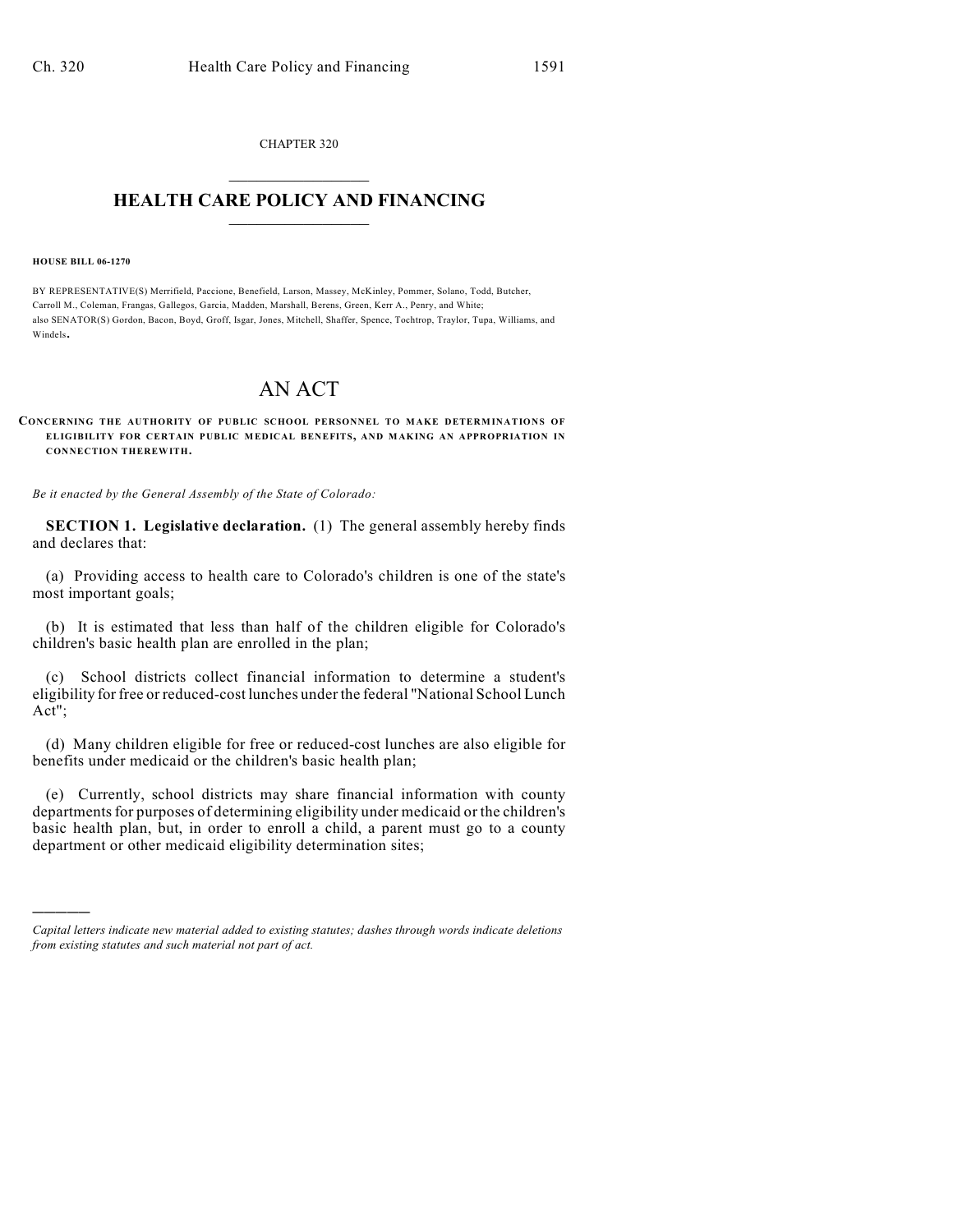CHAPTER 320  $\overline{\phantom{a}}$  . The set of the set of the set of the set of the set of the set of the set of the set of the set of the set of the set of the set of the set of the set of the set of the set of the set of the set of the set o

## **HEALTH CARE POLICY AND FINANCING**  $\_$   $\_$   $\_$   $\_$   $\_$   $\_$   $\_$   $\_$

**HOUSE BILL 06-1270**

)))))

BY REPRESENTATIVE(S) Merrifield, Paccione, Benefield, Larson, Massey, McKinley, Pommer, Solano, Todd, Butcher, Carroll M., Coleman, Frangas, Gallegos, Garcia, Madden, Marshall, Berens, Green, Kerr A., Penry, and White; also SENATOR(S) Gordon, Bacon, Boyd, Groff, Isgar, Jones, Mitchell, Shaffer, Spence, Tochtrop, Traylor, Tupa, Williams, and Windels.

## AN ACT

## **CONCERNING THE AUTHORITY OF PUBLIC SCHOOL PERSONNEL TO MAKE DETERM INATIONS OF ELIGIBILITY FOR CERTAIN PUBLIC MEDICAL BENEFITS, AND MAKING AN APPROPRIATION IN CONNECTION THEREWITH.**

*Be it enacted by the General Assembly of the State of Colorado:*

**SECTION 1. Legislative declaration.** (1) The general assembly hereby finds and declares that:

(a) Providing access to health care to Colorado's children is one of the state's most important goals;

(b) It is estimated that less than half of the children eligible for Colorado's children's basic health plan are enrolled in the plan;

(c) School districts collect financial information to determine a student's eligibility for free or reduced-cost lunches under the federal "National School Lunch Act";

(d) Many children eligible for free or reduced-cost lunches are also eligible for benefits under medicaid or the children's basic health plan;

(e) Currently, school districts may share financial information with county departments for purposes of determining eligibility under medicaid or the children's basic health plan, but, in order to enroll a child, a parent must go to a county department or other medicaid eligibility determination sites;

*Capital letters indicate new material added to existing statutes; dashes through words indicate deletions from existing statutes and such material not part of act.*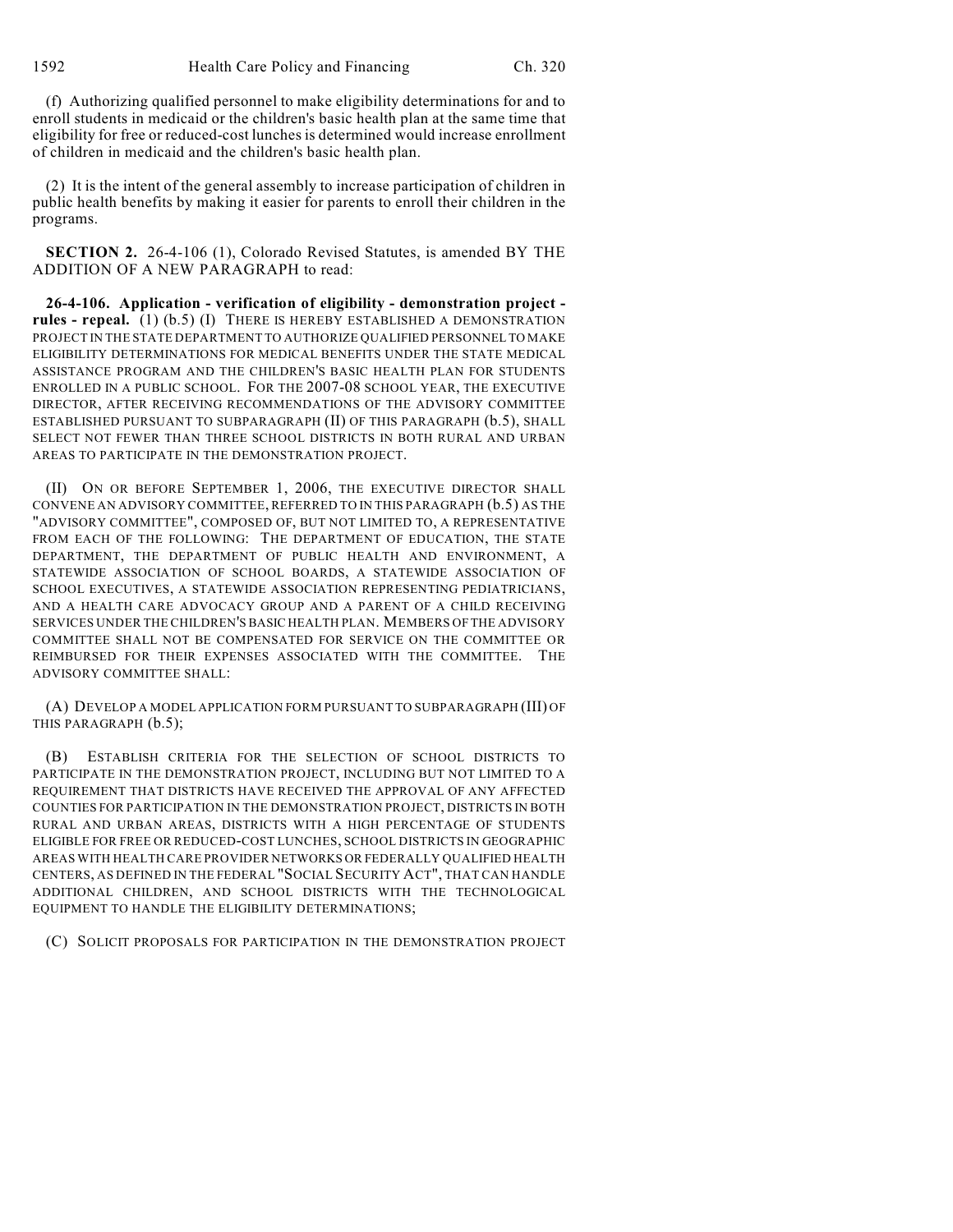(f) Authorizing qualified personnel to make eligibility determinations for and to enroll students in medicaid or the children's basic health plan at the same time that eligibility for free or reduced-cost lunches is determined would increase enrollment of children in medicaid and the children's basic health plan.

(2) It is the intent of the general assembly to increase participation of children in public health benefits by making it easier for parents to enroll their children in the programs.

**SECTION 2.** 26-4-106 (1), Colorado Revised Statutes, is amended BY THE ADDITION OF A NEW PARAGRAPH to read:

**26-4-106. Application - verification of eligibility - demonstration project rules - repeal.** (1) (b.5) (I) THERE IS HEREBY ESTABLISHED A DEMONSTRATION PROJECT IN THE STATE DEPARTMENT TO AUTHORIZE QUALIFIED PERSONNEL TO MAKE ELIGIBILITY DETERMINATIONS FOR MEDICAL BENEFITS UNDER THE STATE MEDICAL ASSISTANCE PROGRAM AND THE CHILDREN'S BASIC HEALTH PLAN FOR STUDENTS ENROLLED IN A PUBLIC SCHOOL. FOR THE 2007-08 SCHOOL YEAR, THE EXECUTIVE DIRECTOR, AFTER RECEIVING RECOMMENDATIONS OF THE ADVISORY COMMITTEE ESTABLISHED PURSUANT TO SUBPARAGRAPH (II) OF THIS PARAGRAPH (b.5), SHALL SELECT NOT FEWER THAN THREE SCHOOL DISTRICTS IN BOTH RURAL AND URBAN AREAS TO PARTICIPATE IN THE DEMONSTRATION PROJECT.

(II) ON OR BEFORE SEPTEMBER 1, 2006, THE EXECUTIVE DIRECTOR SHALL CONVENE AN ADVISORY COMMITTEE, REFERRED TO IN THIS PARAGRAPH (b.5) AS THE "ADVISORY COMMITTEE", COMPOSED OF, BUT NOT LIMITED TO, A REPRESENTATIVE FROM EACH OF THE FOLLOWING: THE DEPARTMENT OF EDUCATION, THE STATE DEPARTMENT, THE DEPARTMENT OF PUBLIC HEALTH AND ENVIRONMENT, A STATEWIDE ASSOCIATION OF SCHOOL BOARDS, A STATEWIDE ASSOCIATION OF SCHOOL EXECUTIVES, A STATEWIDE ASSOCIATION REPRESENTING PEDIATRICIANS, AND A HEALTH CARE ADVOCACY GROUP AND A PARENT OF A CHILD RECEIVING SERVICES UNDER THE CHILDREN'S BASIC HEALTH PLAN. MEMBERS OF THE ADVISORY COMMITTEE SHALL NOT BE COMPENSATED FOR SERVICE ON THE COMMITTEE OR REIMBURSED FOR THEIR EXPENSES ASSOCIATED WITH THE COMMITTEE. THE ADVISORY COMMITTEE SHALL:

(A) DEVELOP A MODEL APPLICATION FORM PURSUANT TO SUBPARAGRAPH (III) OF THIS PARAGRAPH (b.5);

(B) ESTABLISH CRITERIA FOR THE SELECTION OF SCHOOL DISTRICTS TO PARTICIPATE IN THE DEMONSTRATION PROJECT, INCLUDING BUT NOT LIMITED TO A REQUIREMENT THAT DISTRICTS HAVE RECEIVED THE APPROVAL OF ANY AFFECTED COUNTIES FOR PARTICIPATION IN THE DEMONSTRATION PROJECT, DISTRICTS IN BOTH RURAL AND URBAN AREAS, DISTRICTS WITH A HIGH PERCENTAGE OF STUDENTS ELIGIBLE FOR FREE OR REDUCED-COST LUNCHES, SCHOOL DISTRICTS IN GEOGRAPHIC AREAS WITH HEALTH CARE PROVIDER NETWORKS OR FEDERALLY QUALIFIED HEALTH CENTERS, AS DEFINED IN THE FEDERAL "SOCIAL SECURITY ACT", THAT CAN HANDLE ADDITIONAL CHILDREN, AND SCHOOL DISTRICTS WITH THE TECHNOLOGICAL EQUIPMENT TO HANDLE THE ELIGIBILITY DETERMINATIONS;

(C) SOLICIT PROPOSALS FOR PARTICIPATION IN THE DEMONSTRATION PROJECT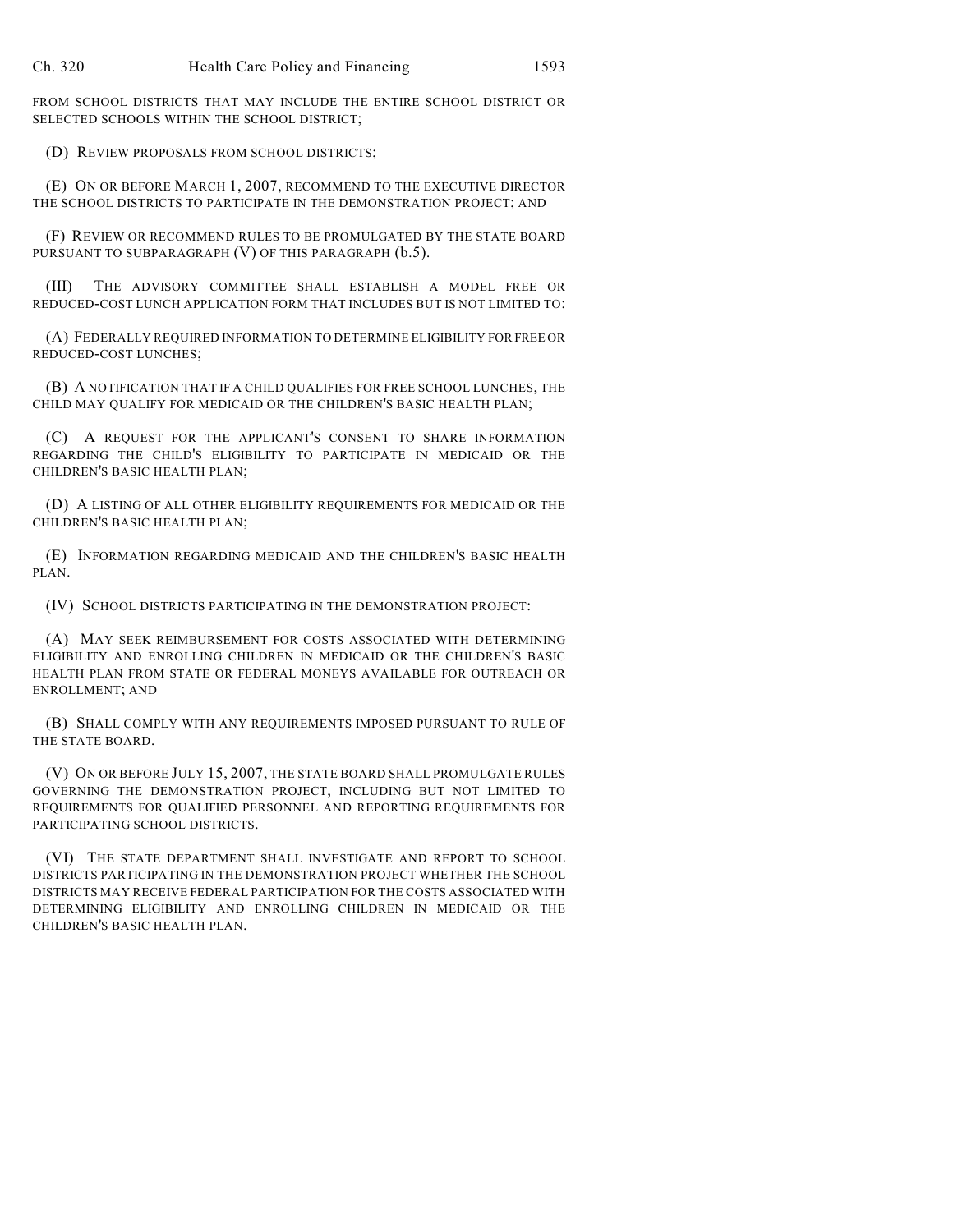FROM SCHOOL DISTRICTS THAT MAY INCLUDE THE ENTIRE SCHOOL DISTRICT OR SELECTED SCHOOLS WITHIN THE SCHOOL DISTRICT;

(D) REVIEW PROPOSALS FROM SCHOOL DISTRICTS;

(E) ON OR BEFORE MARCH 1, 2007, RECOMMEND TO THE EXECUTIVE DIRECTOR THE SCHOOL DISTRICTS TO PARTICIPATE IN THE DEMONSTRATION PROJECT; AND

(F) REVIEW OR RECOMMEND RULES TO BE PROMULGATED BY THE STATE BOARD PURSUANT TO SUBPARAGRAPH (V) OF THIS PARAGRAPH (b.5).

(III) THE ADVISORY COMMITTEE SHALL ESTABLISH A MODEL FREE OR REDUCED-COST LUNCH APPLICATION FORM THAT INCLUDES BUT IS NOT LIMITED TO:

(A) FEDERALLY REQUIRED INFORMATION TO DETERMINE ELIGIBILITY FOR FREE OR REDUCED-COST LUNCHES;

(B) A NOTIFICATION THAT IF A CHILD QUALIFIES FOR FREE SCHOOL LUNCHES, THE CHILD MAY QUALIFY FOR MEDICAID OR THE CHILDREN'S BASIC HEALTH PLAN;

(C) A REQUEST FOR THE APPLICANT'S CONSENT TO SHARE INFORMATION REGARDING THE CHILD'S ELIGIBILITY TO PARTICIPATE IN MEDICAID OR THE CHILDREN'S BASIC HEALTH PLAN;

(D) A LISTING OF ALL OTHER ELIGIBILITY REQUIREMENTS FOR MEDICAID OR THE CHILDREN'S BASIC HEALTH PLAN;

(E) INFORMATION REGARDING MEDICAID AND THE CHILDREN'S BASIC HEALTH PLAN.

(IV) SCHOOL DISTRICTS PARTICIPATING IN THE DEMONSTRATION PROJECT:

(A) MAY SEEK REIMBURSEMENT FOR COSTS ASSOCIATED WITH DETERMINING ELIGIBILITY AND ENROLLING CHILDREN IN MEDICAID OR THE CHILDREN'S BASIC HEALTH PLAN FROM STATE OR FEDERAL MONEYS AVAILABLE FOR OUTREACH OR ENROLLMENT; AND

(B) SHALL COMPLY WITH ANY REQUIREMENTS IMPOSED PURSUANT TO RULE OF THE STATE BOARD.

(V) ON OR BEFORE JULY 15, 2007, THE STATE BOARD SHALL PROMULGATE RULES GOVERNING THE DEMONSTRATION PROJECT, INCLUDING BUT NOT LIMITED TO REQUIREMENTS FOR QUALIFIED PERSONNEL AND REPORTING REQUIREMENTS FOR PARTICIPATING SCHOOL DISTRICTS.

(VI) THE STATE DEPARTMENT SHALL INVESTIGATE AND REPORT TO SCHOOL DISTRICTS PARTICIPATING IN THE DEMONSTRATION PROJECT WHETHER THE SCHOOL DISTRICTS MAY RECEIVE FEDERAL PARTICIPATION FOR THE COSTS ASSOCIATED WITH DETERMINING ELIGIBILITY AND ENROLLING CHILDREN IN MEDICAID OR THE CHILDREN'S BASIC HEALTH PLAN.